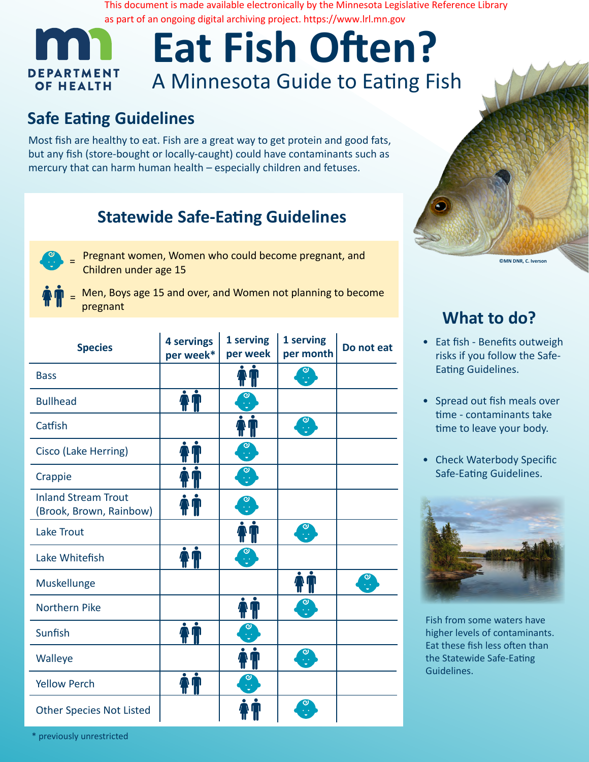# **Eat Fish Often?** A Minnesota Guide to Eating Fish

# **Safe Eating Guidelines**

# **Statewide Safe-Eating Guidelines**



- **EXECUTE IN THE COULD COULD ACT AND COULD BECOME PREGNANT, and Pregnant, and EXECUTE CON DIR, C. Iverson** Children under age 15
- = Men, Boys age 15 and over, and Women not planning to become pregnant

|                                                                                                                                                                                                                                            |                         |                                     |                                                        | as part of an ongoing digital archiving project. https://www.lrl.mn.gov | This document is made available electronically by the Minnesota Legislative Reference Library |
|--------------------------------------------------------------------------------------------------------------------------------------------------------------------------------------------------------------------------------------------|-------------------------|-------------------------------------|--------------------------------------------------------|-------------------------------------------------------------------------|-----------------------------------------------------------------------------------------------|
|                                                                                                                                                                                                                                            |                         |                                     |                                                        | <b>Eat Fish Often?</b>                                                  |                                                                                               |
| <b>DEPARTMENT</b><br><b>OF HEALTH</b>                                                                                                                                                                                                      |                         |                                     |                                                        | A Minnesota Guide to Eating Fish                                        |                                                                                               |
| <b>Safe Eating Guidelines</b>                                                                                                                                                                                                              |                         |                                     |                                                        |                                                                         |                                                                                               |
| Most fish are healthy to eat. Fish are a great way to get protein and good fats,<br>but any fish (store-bought or locally-caught) could have contaminants such as<br>mercury that can harm human health - especially children and fetuses. |                         |                                     |                                                        |                                                                         |                                                                                               |
| <b>Statewide Safe-Eating Guidelines</b>                                                                                                                                                                                                    |                         |                                     |                                                        |                                                                         |                                                                                               |
| Pregnant women, Women who could become pregnant, and<br>Children under age 15                                                                                                                                                              |                         |                                     |                                                        |                                                                         | <b>ON</b>                                                                                     |
| Men, Boys age 15 and over, and Women not planning to become<br>pregnant                                                                                                                                                                    |                         |                                     |                                                        |                                                                         |                                                                                               |
|                                                                                                                                                                                                                                            |                         |                                     |                                                        |                                                                         | <b>What to</b>                                                                                |
| <b>Species</b>                                                                                                                                                                                                                             | 4 servings<br>per week* | 1 serving<br>per week               | 1 serving<br>per month                                 | Do not eat                                                              | Eat fish - Benefi<br>risks if you follo                                                       |
| <b>Bass</b>                                                                                                                                                                                                                                |                         |                                     |                                                        |                                                                         | <b>Eating Guidelin</b>                                                                        |
| <b>Bullhead</b>                                                                                                                                                                                                                            |                         |                                     |                                                        |                                                                         | Spread out fish                                                                               |
| Catfish                                                                                                                                                                                                                                    |                         | - UU                                |                                                        |                                                                         | time - contamir<br>time to leave yo                                                           |
| Cisco (Lake Herring)                                                                                                                                                                                                                       |                         | $\mathbf{e}$                        |                                                        |                                                                         | <b>Check Waterbo</b>                                                                          |
| Crappie                                                                                                                                                                                                                                    |                         | $\stackrel{\textstyle\circ}{\cdot}$ |                                                        |                                                                         | Safe-Eating Gui                                                                               |
| <b>Inland Stream Trout</b><br>(Brook, Brown, Rainbow)                                                                                                                                                                                      |                         |                                     |                                                        |                                                                         |                                                                                               |
| Lake Trout                                                                                                                                                                                                                                 |                         |                                     | ႝ                                                      |                                                                         |                                                                                               |
| Lake Whitefish                                                                                                                                                                                                                             |                         | ္<br>ႏ                              |                                                        |                                                                         |                                                                                               |
| Muskellunge                                                                                                                                                                                                                                |                         |                                     |                                                        | $\frac{1}{2}$                                                           |                                                                                               |
| <b>Northern Pike</b>                                                                                                                                                                                                                       |                         |                                     | $\left[ \begin{matrix} 0 \ \cdot \end{matrix} \right]$ |                                                                         | Fish from some wat                                                                            |
| Sunfish                                                                                                                                                                                                                                    |                         |                                     |                                                        |                                                                         | higher levels of con<br>Eat these fish less o                                                 |
| Walleye                                                                                                                                                                                                                                    |                         |                                     | $\frac{1}{2}$                                          |                                                                         | the Statewide Safe-<br>Guidelines.                                                            |
| <b>Yellow Perch</b>                                                                                                                                                                                                                        |                         |                                     |                                                        |                                                                         |                                                                                               |
| <b>Other Species Not Listed</b>                                                                                                                                                                                                            |                         |                                     | $\left[ \begin{matrix} 0 \ \cdot \end{matrix} \right]$ |                                                                         |                                                                                               |
| * previously unrestricted                                                                                                                                                                                                                  |                         |                                     |                                                        |                                                                         |                                                                                               |



## **What to do?**

- Eat fish Benefits outweigh risks if you follow the Safe-Eating Guidelines.
- Spread out fish meals over time - contaminants take time to leave your body.
- Check Waterbody Specific Safe-Eating Guidelines.



Fish from some waters have higher levels of contaminants. Eat these fish less often than the Statewide Safe-Eating Guidelines.